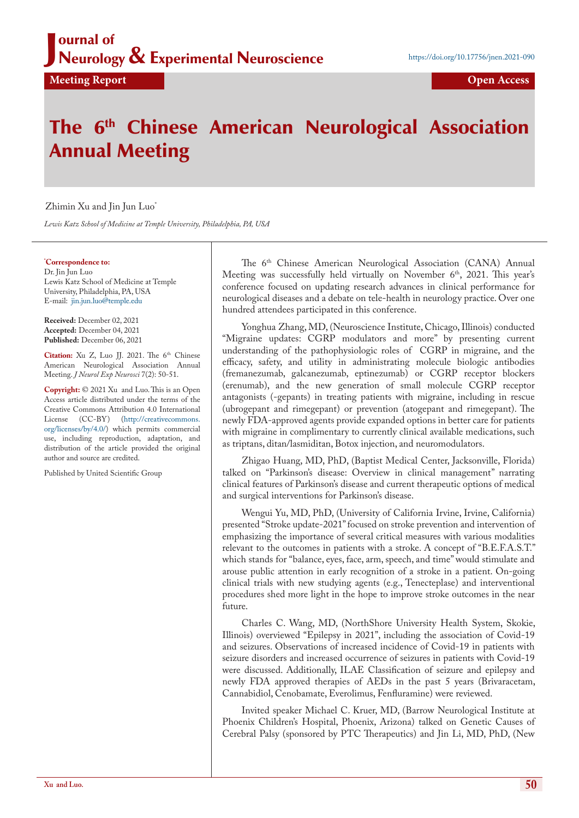### J ournal of Neurology & Experimental Neuroscience

**Meeting Report Open Access** 

# The 6<sup>th</sup> Chinese American Neurological Association Annual Meeting

#### Zhimin Xu and Jin Jun Luo\*

*Lewis Katz School of Medicine at Temple University, Philadelphia, PA, USA*

#### **\* Correspondence to:**

Dr. Jin Jun Luo Lewis Katz School of Medicine at Temple University, Philadelphia, PA, USA E-mail: <jin.jun.luo@temple.edu>

**Received:** December 02, 2021 **Accepted:** December 04, 2021 **Published:** December 06, 2021

Citation: Xu Z, Luo JJ. 2021. The 6<sup>th</sup> Chinese American Neurological Association Annual Meeting. *J Neurol Exp Neurosci* 7(2): 50-51.

**Copyright:** © 2021 Xu and Luo. This is an Open Access article distributed under the terms of the Creative Commons Attribution 4.0 International License (CC-BY) [\(http://creativecommons.](http://creativecommons.org/licenses/by/4.0/) [org/licenses/by/4.0/\)](http://creativecommons.org/licenses/by/4.0/) which permits commercial use, including reproduction, adaptation, and distribution of the article provided the original author and source are credited.

Published by United Scientific Group

The 6<sup>th</sup> Chinese American Neurological Association (CANA) Annual Meeting was successfully held virtually on November  $6<sup>th</sup>$ , 2021. This year's conference focused on updating research advances in clinical performance for neurological diseases and a debate on tele-health in neurology practice. Over one hundred attendees participated in this conference.

Yonghua Zhang, MD, (Neuroscience Institute, Chicago, Illinois) conducted "Migraine updates: CGRP modulators and more" by presenting current understanding of the pathophysiologic roles of CGRP in migraine, and the efficacy, safety, and utility in administrating molecule biologic antibodies (fremanezumab, galcanezumab, eptinezumab) or CGRP receptor blockers (erenumab), and the new generation of small molecule CGRP receptor antagonists (-gepants) in treating patients with migraine, including in rescue (ubrogepant and rimegepant) or prevention (atogepant and rimegepant). The newly FDA-approved agents provide expanded options in better care for patients with migraine in complimentary to currently clinical available medications, such as triptans, ditan/lasmiditan, Botox injection, and neuromodulators.

Zhigao Huang, MD, PhD, (Baptist Medical Center, Jacksonville, Florida) talked on "Parkinson's disease: Overview in clinical management" narrating clinical features of Parkinson's disease and current therapeutic options of medical and surgical interventions for Parkinson's disease.

Wengui Yu, MD, PhD, (University of California Irvine, Irvine, California) presented "Stroke update-2021" focused on stroke prevention and intervention of emphasizing the importance of several critical measures with various modalities relevant to the outcomes in patients with a stroke. A concept of "B.E.F.A.S.T." which stands for "balance, eyes, face, arm, speech, and time" would stimulate and arouse public attention in early recognition of a stroke in a patient. On-going clinical trials with new studying agents (e.g., Tenecteplase) and interventional procedures shed more light in the hope to improve stroke outcomes in the near future.

Charles C. Wang, MD, (NorthShore University Health System, Skokie, Illinois) overviewed "Epilepsy in 2021", including the association of Covid-19 and seizures. Observations of increased incidence of Covid-19 in patients with seizure disorders and increased occurrence of seizures in patients with Covid-19 were discussed. Additionally, ILAE Classification of seizure and epilepsy and newly FDA approved therapies of AEDs in the past 5 years (Brivaracetam, Cannabidiol, Cenobamate, Everolimus, Fenfluramine) were reviewed.

Invited speaker Michael C. Kruer, MD, (Barrow Neurological Institute at Phoenix Children's Hospital, Phoenix, Arizona) talked on Genetic Causes of Cerebral Palsy (sponsored by PTC Therapeutics) and Jin Li, MD, PhD, (New